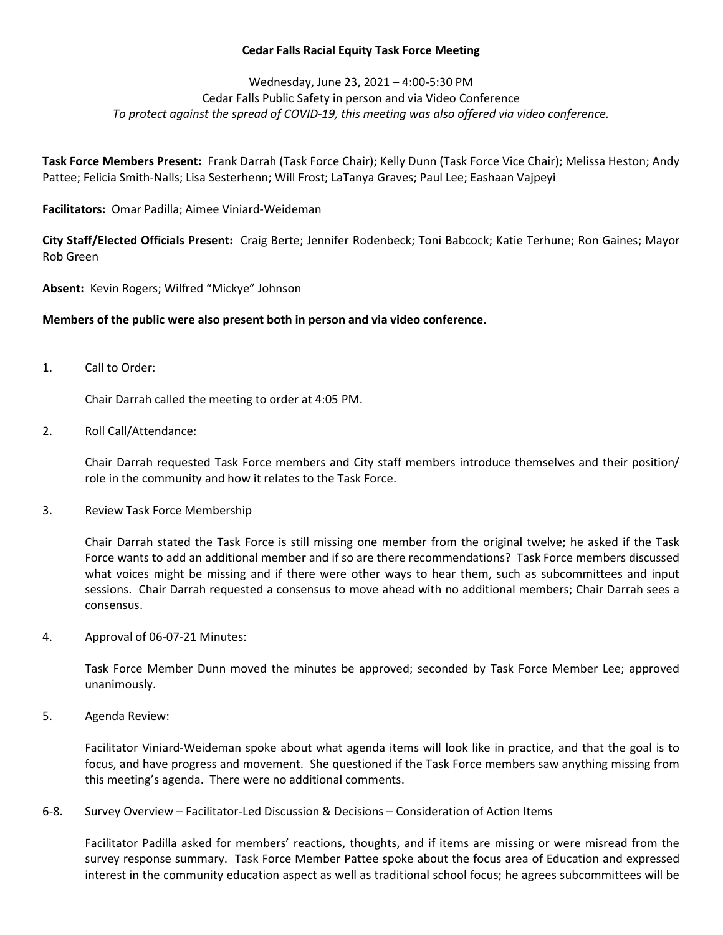## Cedar Falls Racial Equity Task Force Meeting

## Wednesday, June 23, 2021 – 4:00-5:30 PM Cedar Falls Public Safety in person and via Video Conference To protect against the spread of COVID-19, this meeting was also offered via video conference.

Task Force Members Present: Frank Darrah (Task Force Chair); Kelly Dunn (Task Force Vice Chair); Melissa Heston; Andy Pattee; Felicia Smith-Nalls; Lisa Sesterhenn; Will Frost; LaTanya Graves; Paul Lee; Eashaan Vajpeyi

Facilitators: Omar Padilla; Aimee Viniard-Weideman

City Staff/Elected Officials Present: Craig Berte; Jennifer Rodenbeck; Toni Babcock; Katie Terhune; Ron Gaines; Mayor Rob Green

Absent: Kevin Rogers; Wilfred "Mickye" Johnson

## Members of the public were also present both in person and via video conference.

1. Call to Order:

Chair Darrah called the meeting to order at 4:05 PM.

2. Roll Call/Attendance:

Chair Darrah requested Task Force members and City staff members introduce themselves and their position/ role in the community and how it relates to the Task Force.

3. Review Task Force Membership

Chair Darrah stated the Task Force is still missing one member from the original twelve; he asked if the Task Force wants to add an additional member and if so are there recommendations? Task Force members discussed what voices might be missing and if there were other ways to hear them, such as subcommittees and input sessions. Chair Darrah requested a consensus to move ahead with no additional members; Chair Darrah sees a consensus.

4. Approval of 06-07-21 Minutes:

Task Force Member Dunn moved the minutes be approved; seconded by Task Force Member Lee; approved unanimously.

5. Agenda Review:

Facilitator Viniard-Weideman spoke about what agenda items will look like in practice, and that the goal is to focus, and have progress and movement. She questioned if the Task Force members saw anything missing from this meeting's agenda. There were no additional comments.

6-8. Survey Overview – Facilitator-Led Discussion & Decisions – Consideration of Action Items

Facilitator Padilla asked for members' reactions, thoughts, and if items are missing or were misread from the survey response summary. Task Force Member Pattee spoke about the focus area of Education and expressed interest in the community education aspect as well as traditional school focus; he agrees subcommittees will be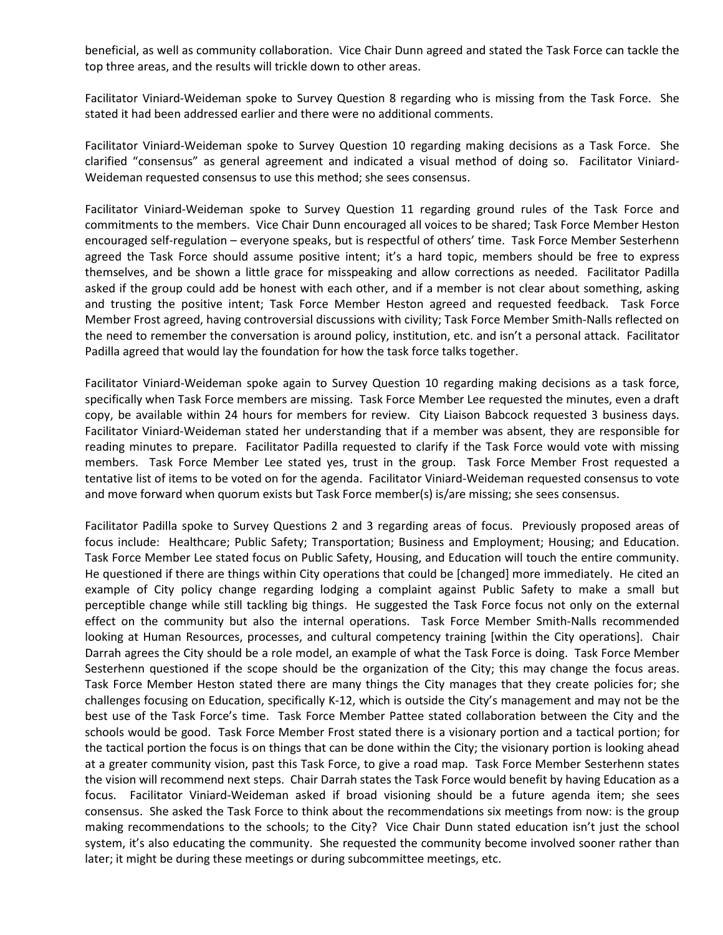beneficial, as well as community collaboration. Vice Chair Dunn agreed and stated the Task Force can tackle the top three areas, and the results will trickle down to other areas.

Facilitator Viniard-Weideman spoke to Survey Question 8 regarding who is missing from the Task Force. She stated it had been addressed earlier and there were no additional comments.

Facilitator Viniard-Weideman spoke to Survey Question 10 regarding making decisions as a Task Force. She clarified "consensus" as general agreement and indicated a visual method of doing so. Facilitator Viniard-Weideman requested consensus to use this method; she sees consensus.

Facilitator Viniard-Weideman spoke to Survey Question 11 regarding ground rules of the Task Force and commitments to the members. Vice Chair Dunn encouraged all voices to be shared; Task Force Member Heston encouraged self-regulation – everyone speaks, but is respectful of others' time. Task Force Member Sesterhenn agreed the Task Force should assume positive intent; it's a hard topic, members should be free to express themselves, and be shown a little grace for misspeaking and allow corrections as needed. Facilitator Padilla asked if the group could add be honest with each other, and if a member is not clear about something, asking and trusting the positive intent; Task Force Member Heston agreed and requested feedback. Task Force Member Frost agreed, having controversial discussions with civility; Task Force Member Smith-Nalls reflected on the need to remember the conversation is around policy, institution, etc. and isn't a personal attack. Facilitator Padilla agreed that would lay the foundation for how the task force talks together.

Facilitator Viniard-Weideman spoke again to Survey Question 10 regarding making decisions as a task force, specifically when Task Force members are missing. Task Force Member Lee requested the minutes, even a draft copy, be available within 24 hours for members for review. City Liaison Babcock requested 3 business days. Facilitator Viniard-Weideman stated her understanding that if a member was absent, they are responsible for reading minutes to prepare. Facilitator Padilla requested to clarify if the Task Force would vote with missing members. Task Force Member Lee stated yes, trust in the group. Task Force Member Frost requested a tentative list of items to be voted on for the agenda. Facilitator Viniard-Weideman requested consensus to vote and move forward when quorum exists but Task Force member(s) is/are missing; she sees consensus.

Facilitator Padilla spoke to Survey Questions 2 and 3 regarding areas of focus. Previously proposed areas of focus include: Healthcare; Public Safety; Transportation; Business and Employment; Housing; and Education. Task Force Member Lee stated focus on Public Safety, Housing, and Education will touch the entire community. He questioned if there are things within City operations that could be [changed] more immediately. He cited an example of City policy change regarding lodging a complaint against Public Safety to make a small but perceptible change while still tackling big things. He suggested the Task Force focus not only on the external effect on the community but also the internal operations. Task Force Member Smith-Nalls recommended looking at Human Resources, processes, and cultural competency training [within the City operations]. Chair Darrah agrees the City should be a role model, an example of what the Task Force is doing. Task Force Member Sesterhenn questioned if the scope should be the organization of the City; this may change the focus areas. Task Force Member Heston stated there are many things the City manages that they create policies for; she challenges focusing on Education, specifically K-12, which is outside the City's management and may not be the best use of the Task Force's time. Task Force Member Pattee stated collaboration between the City and the schools would be good. Task Force Member Frost stated there is a visionary portion and a tactical portion; for the tactical portion the focus is on things that can be done within the City; the visionary portion is looking ahead at a greater community vision, past this Task Force, to give a road map. Task Force Member Sesterhenn states the vision will recommend next steps. Chair Darrah states the Task Force would benefit by having Education as a focus. Facilitator Viniard-Weideman asked if broad visioning should be a future agenda item; she sees consensus. She asked the Task Force to think about the recommendations six meetings from now: is the group making recommendations to the schools; to the City? Vice Chair Dunn stated education isn't just the school system, it's also educating the community. She requested the community become involved sooner rather than later; it might be during these meetings or during subcommittee meetings, etc.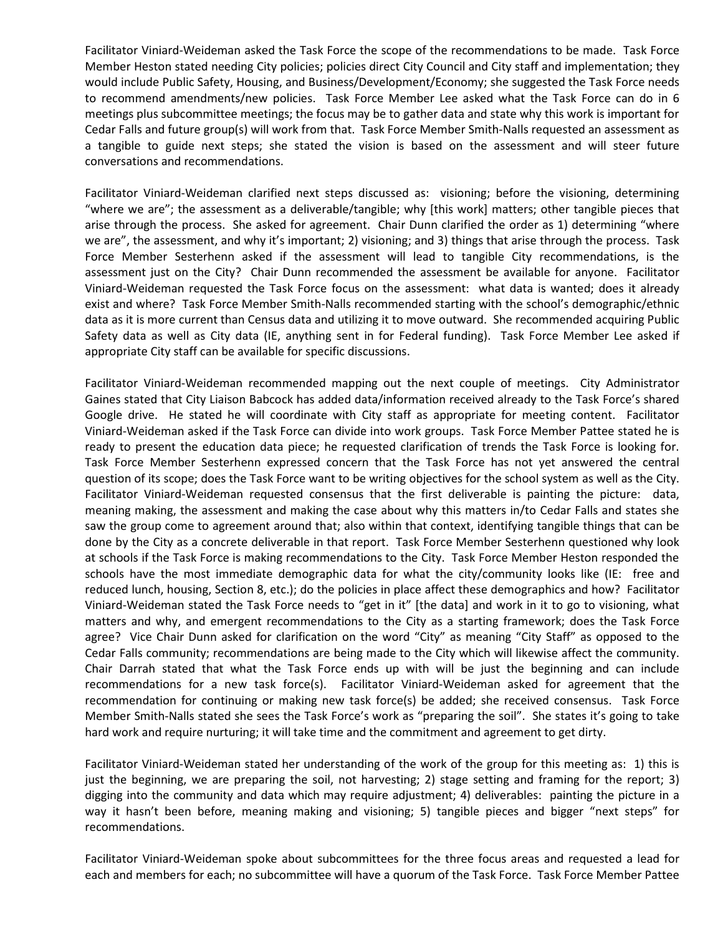Facilitator Viniard-Weideman asked the Task Force the scope of the recommendations to be made. Task Force Member Heston stated needing City policies; policies direct City Council and City staff and implementation; they would include Public Safety, Housing, and Business/Development/Economy; she suggested the Task Force needs to recommend amendments/new policies. Task Force Member Lee asked what the Task Force can do in 6 meetings plus subcommittee meetings; the focus may be to gather data and state why this work is important for Cedar Falls and future group(s) will work from that. Task Force Member Smith-Nalls requested an assessment as a tangible to guide next steps; she stated the vision is based on the assessment and will steer future conversations and recommendations.

Facilitator Viniard-Weideman clarified next steps discussed as: visioning; before the visioning, determining "where we are"; the assessment as a deliverable/tangible; why [this work] matters; other tangible pieces that arise through the process. She asked for agreement. Chair Dunn clarified the order as 1) determining "where we are", the assessment, and why it's important; 2) visioning; and 3) things that arise through the process. Task Force Member Sesterhenn asked if the assessment will lead to tangible City recommendations, is the assessment just on the City? Chair Dunn recommended the assessment be available for anyone. Facilitator Viniard-Weideman requested the Task Force focus on the assessment: what data is wanted; does it already exist and where? Task Force Member Smith-Nalls recommended starting with the school's demographic/ethnic data as it is more current than Census data and utilizing it to move outward. She recommended acquiring Public Safety data as well as City data (IE, anything sent in for Federal funding). Task Force Member Lee asked if appropriate City staff can be available for specific discussions.

Facilitator Viniard-Weideman recommended mapping out the next couple of meetings. City Administrator Gaines stated that City Liaison Babcock has added data/information received already to the Task Force's shared Google drive. He stated he will coordinate with City staff as appropriate for meeting content. Facilitator Viniard-Weideman asked if the Task Force can divide into work groups. Task Force Member Pattee stated he is ready to present the education data piece; he requested clarification of trends the Task Force is looking for. Task Force Member Sesterhenn expressed concern that the Task Force has not yet answered the central question of its scope; does the Task Force want to be writing objectives for the school system as well as the City. Facilitator Viniard-Weideman requested consensus that the first deliverable is painting the picture: data, meaning making, the assessment and making the case about why this matters in/to Cedar Falls and states she saw the group come to agreement around that; also within that context, identifying tangible things that can be done by the City as a concrete deliverable in that report. Task Force Member Sesterhenn questioned why look at schools if the Task Force is making recommendations to the City. Task Force Member Heston responded the schools have the most immediate demographic data for what the city/community looks like (IE: free and reduced lunch, housing, Section 8, etc.); do the policies in place affect these demographics and how? Facilitator Viniard-Weideman stated the Task Force needs to "get in it" [the data] and work in it to go to visioning, what matters and why, and emergent recommendations to the City as a starting framework; does the Task Force agree? Vice Chair Dunn asked for clarification on the word "City" as meaning "City Staff" as opposed to the Cedar Falls community; recommendations are being made to the City which will likewise affect the community. Chair Darrah stated that what the Task Force ends up with will be just the beginning and can include recommendations for a new task force(s). Facilitator Viniard-Weideman asked for agreement that the recommendation for continuing or making new task force(s) be added; she received consensus. Task Force Member Smith-Nalls stated she sees the Task Force's work as "preparing the soil". She states it's going to take hard work and require nurturing; it will take time and the commitment and agreement to get dirty.

Facilitator Viniard-Weideman stated her understanding of the work of the group for this meeting as: 1) this is just the beginning, we are preparing the soil, not harvesting; 2) stage setting and framing for the report; 3) digging into the community and data which may require adjustment; 4) deliverables: painting the picture in a way it hasn't been before, meaning making and visioning; 5) tangible pieces and bigger "next steps" for recommendations.

Facilitator Viniard-Weideman spoke about subcommittees for the three focus areas and requested a lead for each and members for each; no subcommittee will have a quorum of the Task Force. Task Force Member Pattee